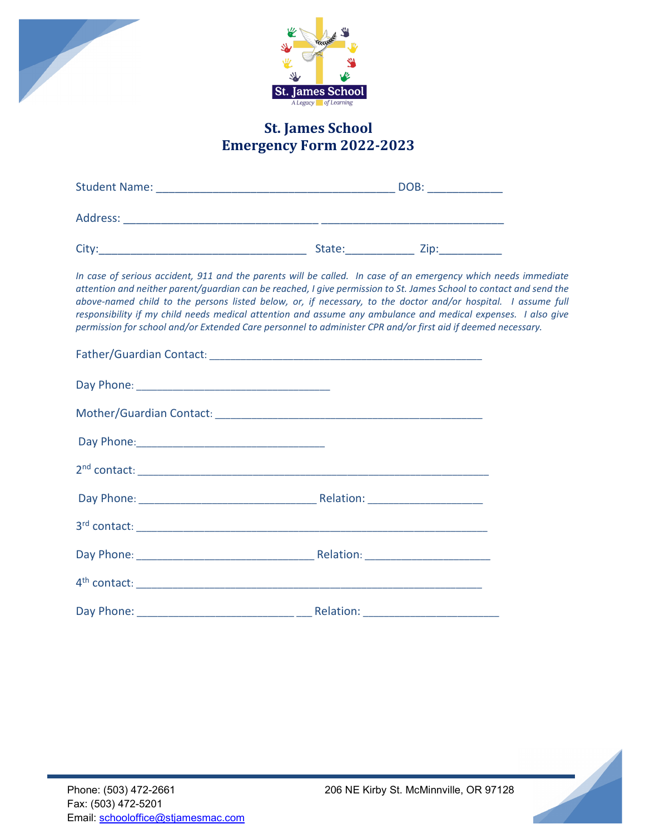



## **St. James School Emergency Form 2022-2023**

| <b>Student Name:</b> |        | DOB: |  |
|----------------------|--------|------|--|
| Address:             |        |      |  |
| City:                | State: | Zip: |  |

*In case of serious accident, 911 and the parents will be called. In case of an emergency which needs immediate attention and neither parent/guardian can be reached, I give permission to St. James School to contact and send the above-named child to the persons listed below, or, if necessary, to the doctor and/or hospital. I assume full responsibility if my child needs medical attention and assume any ambulance and medical expenses. I also give permission for school and/or Extended Care personnel to administer CPR and/or first aid if deemed necessary.*

| Day Phone: 2008 - 2012 - 2022 - 2022 - 2022 - 2022 - 2022 - 2022 - 2022 - 2022 - 2022 - 2022 - 2022 - 2022 - 20 |  |
|-----------------------------------------------------------------------------------------------------------------|--|
|                                                                                                                 |  |
|                                                                                                                 |  |
|                                                                                                                 |  |
|                                                                                                                 |  |
|                                                                                                                 |  |
|                                                                                                                 |  |